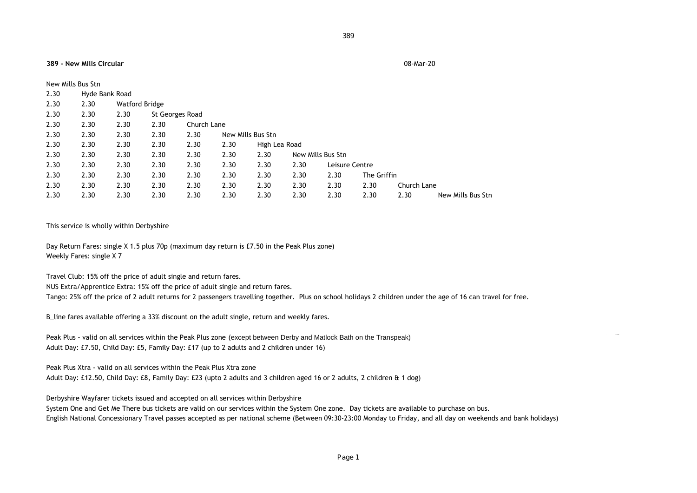## 389

## **389 - New Mills Circular** 08-Mar-20

| New Mills Bus Stn |                |                |                 |             |                   |               |                   |                |             |             |                   |
|-------------------|----------------|----------------|-----------------|-------------|-------------------|---------------|-------------------|----------------|-------------|-------------|-------------------|
| 2.30              | Hyde Bank Road |                |                 |             |                   |               |                   |                |             |             |                   |
| 2.30              | 2.30           | Watford Bridge |                 |             |                   |               |                   |                |             |             |                   |
| 2.30              | 2.30           | 2.30           | St Georges Road |             |                   |               |                   |                |             |             |                   |
| 2.30              | 2.30           | 2.30           | 2.30            | Church Lane |                   |               |                   |                |             |             |                   |
| 2.30              | 2.30           | 2.30           | 2.30            | 2.30        | New Mills Bus Stn |               |                   |                |             |             |                   |
| 2.30              | 2.30           | 2.30           | 2.30            | 2.30        | 2.30              | High Lea Road |                   |                |             |             |                   |
| 2.30              | 2.30           | 2.30           | 2.30            | 2.30        | 2.30              | 2.30          | New Mills Bus Stn |                |             |             |                   |
| 2.30              | 2.30           | 2.30           | 2.30            | 2.30        | 2.30              | 2.30          | 2.30              | Leisure Centre |             |             |                   |
| 2.30              | 2.30           | 2.30           | 2.30            | 2.30        | 2.30              | 2.30          | 2.30              | 2.30           | The Griffin |             |                   |
| 2.30              | 2.30           | 2.30           | 2.30            | 2.30        | 2.30              | 2.30          | 2.30              | 2.30           | 2.30        | Church Lane |                   |
| 2.30              | 2.30           | 2.30           | 2.30            | 2.30        | 2.30              | 2.30          | 2.30              | 2.30           | 2.30        | 2.30        | New Mills Bus Stn |

## This service is wholly within Derbyshire

Day Return Fares: single X 1.5 plus 70p (maximum day return is £7.50 in the Peak Plus zone) Weekly Fares: single X 7

Travel Club: 15% off the price of adult single and return fares.

NUS Extra/Apprentice Extra: 15% off the price of adult single and return fares.

Tango: 25% off the price of 2 adult returns for 2 passengers travelling together. Plus on school holidays 2 children under the age of 16 can travel for free.

B\_line fares available offering a 33% discount on the adult single, return and weekly fares.

Peak Plus - valid on all services within the Peak Plus zone (except between Derby and Matlock Bath on the Transpeak) Adult Day: £7.50, Child Day: £5, Family Day: £17 (up to 2 adults and 2 children under 16)

Peak Plus Xtra - valid on all services within the Peak Plus Xtra zone

Adult Day: £12.50, Child Day: £8, Family Day: £23 (upto 2 adults and 3 children aged 16 or 2 adults, 2 children & 1 dog)

Derbyshire Wayfarer tickets issued and accepted on all services within Derbyshire

System One and Get Me There bus tickets are valid on our services within the System One zone. Day tickets are available to purchase on bus. English National Concessionary Travel passes accepted as per national scheme (Between 09:30-23:00 Monday to Friday, and all day on weekends and bank holidays)